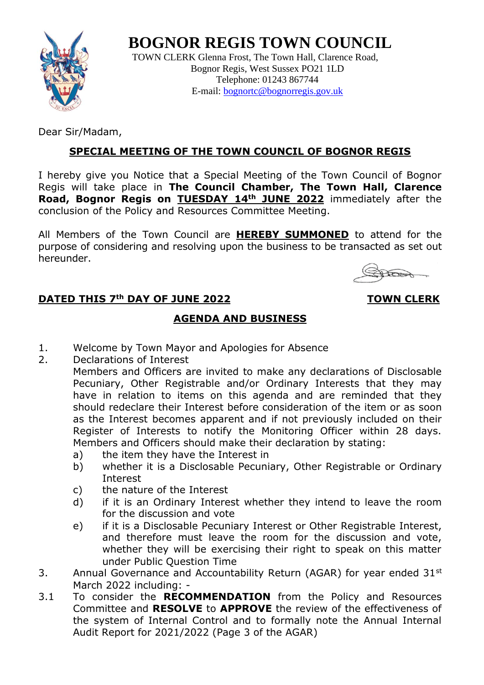

**BOGNOR REGIS TOWN COUNCIL**

TOWN CLERK Glenna Frost, The Town Hall, Clarence Road, Bognor Regis, West Sussex PO21 1LD Telephone: 01243 867744 E-mail: [bognortc@bognorregis.gov.uk](mailto:bognortc@bognorregis.gov.uk)

Dear Sir/Madam,

## **SPECIAL MEETING OF THE TOWN COUNCIL OF BOGNOR REGIS**

I hereby give you Notice that a Special Meeting of the Town Council of Bognor Regis will take place in **The Council Chamber, The Town Hall, Clarence Road, Bognor Regis on TUESDAY 14th JUNE 2022** immediately after the conclusion of the Policy and Resources Committee Meeting.

All Members of the Town Council are **HEREBY SUMMONED** to attend for the purpose of considering and resolving upon the business to be transacted as set out hereunder.

## **DATED THIS** 7<sup>th</sup> DAY OF JUNE 2022 **TOWN CLERK**

## **AGENDA AND BUSINESS**

- 1. Welcome by Town Mayor and Apologies for Absence
- 2. Declarations of Interest

Members and Officers are invited to make any declarations of Disclosable Pecuniary, Other Registrable and/or Ordinary Interests that they may have in relation to items on this agenda and are reminded that they should redeclare their Interest before consideration of the item or as soon as the Interest becomes apparent and if not previously included on their Register of Interests to notify the Monitoring Officer within 28 days. Members and Officers should make their declaration by stating:

- a) the item they have the Interest in
- b) whether it is a Disclosable Pecuniary, Other Registrable or Ordinary Interest
- c) the nature of the Interest
- d) if it is an Ordinary Interest whether they intend to leave the room for the discussion and vote
- e) if it is a Disclosable Pecuniary Interest or Other Registrable Interest, and therefore must leave the room for the discussion and vote, whether they will be exercising their right to speak on this matter under Public Question Time
- 3. Annual Governance and Accountability Return (AGAR) for year ended  $31^{st}$ March 2022 including: -
- 3.1 To consider the **RECOMMENDATION** from the Policy and Resources Committee and **RESOLVE** to **APPROVE** the review of the effectiveness of the system of Internal Control and to formally note the Annual Internal Audit Report for 2021/2022 (Page 3 of the AGAR)